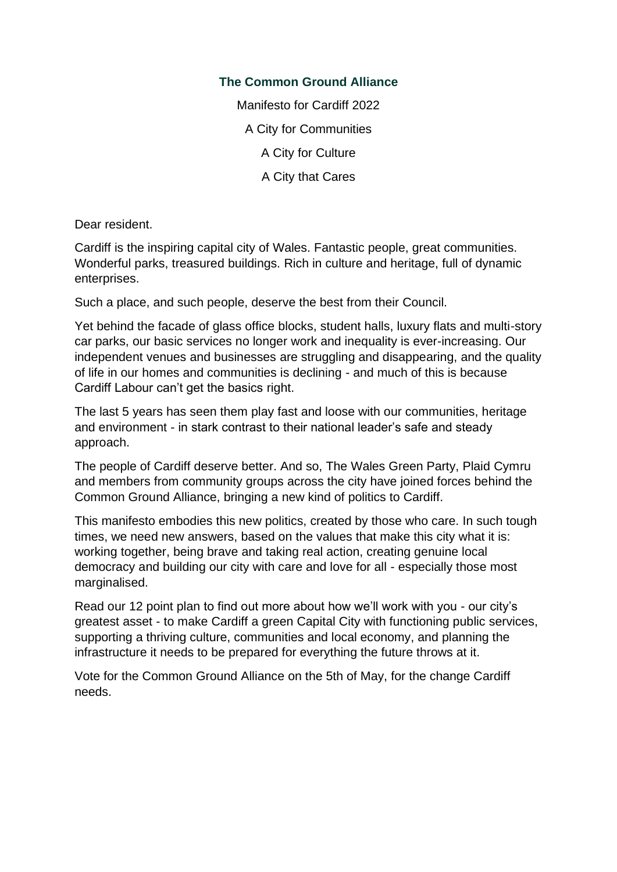### **The Common Ground Alliance**

Manifesto for Cardiff 2022 A City for Communities A City for Culture A City that Cares

Dear resident.

Cardiff is the inspiring capital city of Wales. Fantastic people, great communities. Wonderful parks, treasured buildings. Rich in culture and heritage, full of dynamic enterprises.

Such a place, and such people, deserve the best from their Council.

Yet behind the facade of glass office blocks, student halls, luxury flats and multi-story car parks, our basic services no longer work and inequality is ever-increasing. Our independent venues and businesses are struggling and disappearing, and the quality of life in our homes and communities is declining - and much of this is because Cardiff Labour can't get the basics right.

The last 5 years has seen them play fast and loose with our communities, heritage and environment - in stark contrast to their national leader's safe and steady approach.

The people of Cardiff deserve better. And so, The Wales Green Party, Plaid Cymru and members from community groups across the city have joined forces behind the Common Ground Alliance, bringing a new kind of politics to Cardiff.

This manifesto embodies this new politics, created by those who care. In such tough times, we need new answers, based on the values that make this city what it is: working together, being brave and taking real action, creating genuine local democracy and building our city with care and love for all - especially those most marginalised.

Read our 12 point plan to find out more about how we'll work with you - our city's greatest asset - to make Cardiff a green Capital City with functioning public services, supporting a thriving culture, communities and local economy, and planning the infrastructure it needs to be prepared for everything the future throws at it.

Vote for the Common Ground Alliance on the 5th of May, for the change Cardiff needs.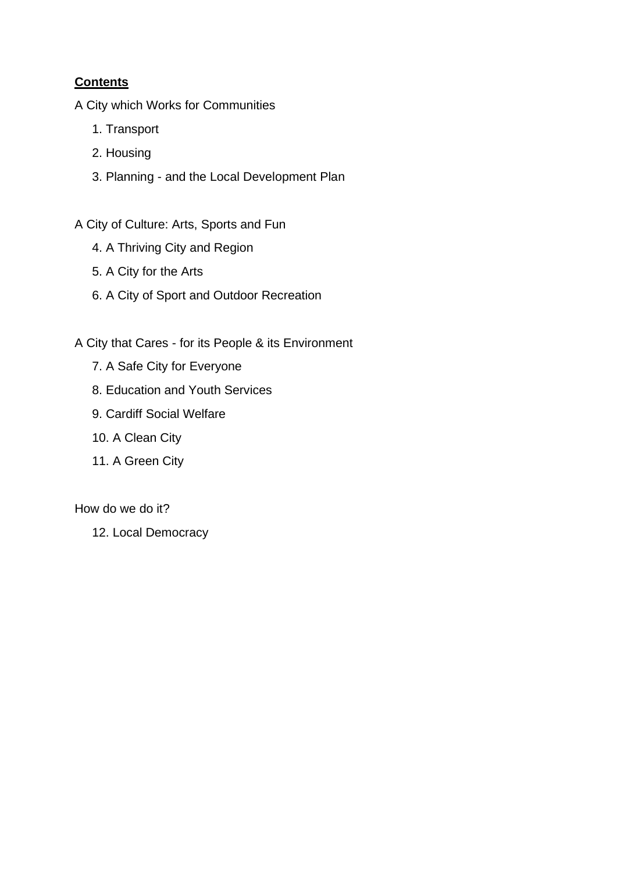## **Contents**

A City which Works for Communities

- 1. Transport
- 2. Housing
- 3. Planning and the Local Development Plan

A City of Culture: Arts, Sports and Fun

- 4. A Thriving City and Region
- 5. A City for the Arts
- 6. A City of Sport and Outdoor Recreation

A City that Cares - for its People & its Environment

- 7. A Safe City for Everyone
- 8. Education and Youth Services
- 9. Cardiff Social Welfare
- 10. A Clean City
- 11. A Green City

How do we do it?

12. Local Democracy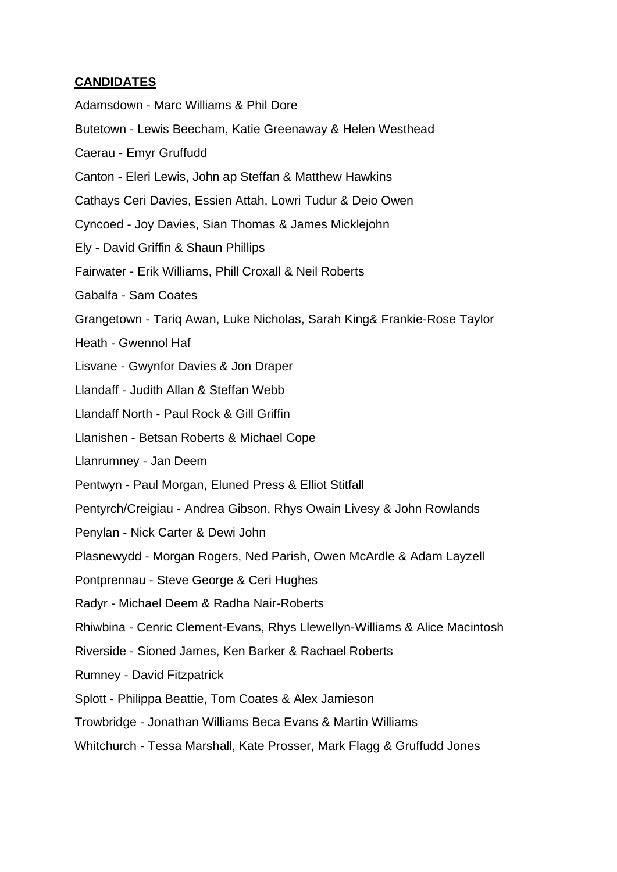#### **CANDIDATES**

Adamsdown - Marc Williams & Phil Dore Butetown - Lewis Beecham, Katie Greenaway & Helen Westhead Caerau - Emyr Gruffudd Canton - Eleri Lewis, John ap Steffan & Matthew Hawkins Cathays Ceri Davies, Essien Attah, Lowri Tudur & Deio Owen Cyncoed - Joy Davies, Sian Thomas & James Micklejohn Ely - David Griffin & Shaun Phillips Fairwater - Erik Williams, Phill Croxall & Neil Roberts Gabalfa - Sam Coates Grangetown - Tariq Awan, Luke Nicholas, Sarah King& Frankie-Rose Taylor Heath - Gwennol Haf Lisvane - Gwynfor Davies & Jon Draper Llandaff - Judith Allan & Steffan Webb Llandaff North - Paul Rock & Gill Griffin Llanishen - Betsan Roberts & Michael Cope Llanrumney - Jan Deem Pentwyn - Paul Morgan, Eluned Press & Elliot Stitfall Pentyrch/Creigiau - Andrea Gibson, Rhys Owain Livesy & John Rowlands Penylan - Nick Carter & Dewi John Plasnewydd - Morgan Rogers, Ned Parish, Owen McArdle & Adam Layzell Pontprennau - Steve George & Ceri Hughes Radyr - Michael Deem & Radha Nair-Roberts Rhiwbina - Cenric Clement-Evans, Rhys Llewellyn-Williams & Alice Macintosh Riverside - Sioned James, Ken Barker & Rachael Roberts Rumney - David Fitzpatrick Splott - Philippa Beattie, Tom Coates & Alex Jamieson Trowbridge - Jonathan Williams Beca Evans & Martin Williams Whitchurch - Tessa Marshall, Kate Prosser, Mark Flagg & Gruffudd Jones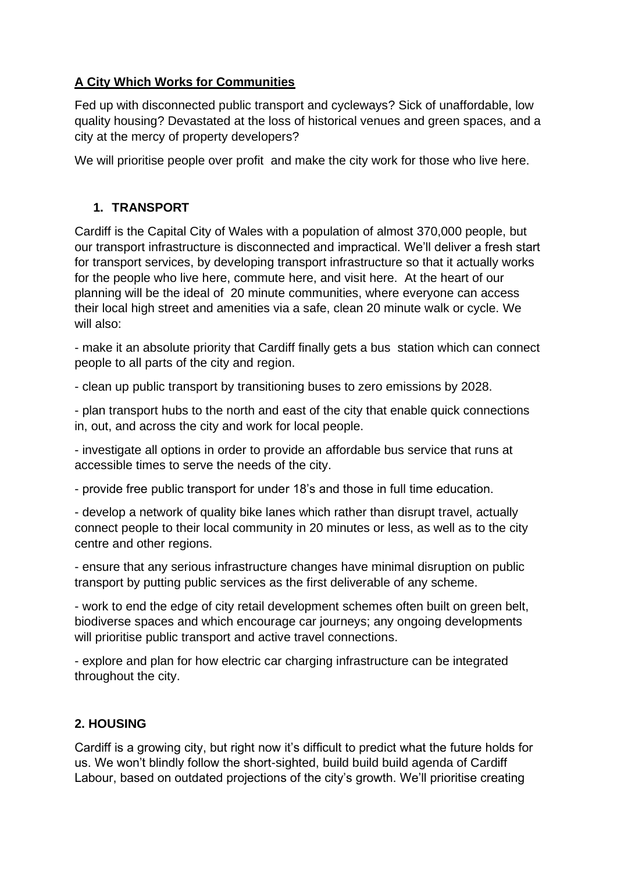## **A City Which Works for Communities**

Fed up with disconnected public transport and cycleways? Sick of unaffordable, low quality housing? Devastated at the loss of historical venues and green spaces, and a city at the mercy of property developers?

We will prioritise people over profit and make the city work for those who live here.

## **1. TRANSPORT**

Cardiff is the Capital City of Wales with a population of almost 370,000 people, but our transport infrastructure is disconnected and impractical. We'll deliver a fresh start for transport services, by developing transport infrastructure so that it actually works for the people who live here, commute here, and visit here. At the heart of our planning will be the ideal of 20 minute communities, where everyone can access their local high street and amenities via a safe, clean 20 minute walk or cycle. We will also:

- make it an absolute priority that Cardiff finally gets a bus station which can connect people to all parts of the city and region.

- clean up public transport by transitioning buses to zero emissions by 2028.

- plan transport hubs to the north and east of the city that enable quick connections in, out, and across the city and work for local people.

- investigate all options in order to provide an affordable bus service that runs at accessible times to serve the needs of the city.

- provide free public transport for under 18's and those in full time education.

- develop a network of quality bike lanes which rather than disrupt travel, actually connect people to their local community in 20 minutes or less, as well as to the city centre and other regions.

- ensure that any serious infrastructure changes have minimal disruption on public transport by putting public services as the first deliverable of any scheme.

- work to end the edge of city retail development schemes often built on green belt, biodiverse spaces and which encourage car journeys; any ongoing developments will prioritise public transport and active travel connections.

- explore and plan for how electric car charging infrastructure can be integrated throughout the city.

## **2. HOUSING**

Cardiff is a growing city, but right now it's difficult to predict what the future holds for us. We won't blindly follow the short-sighted, build build build agenda of Cardiff Labour, based on outdated projections of the city's growth. We'll prioritise creating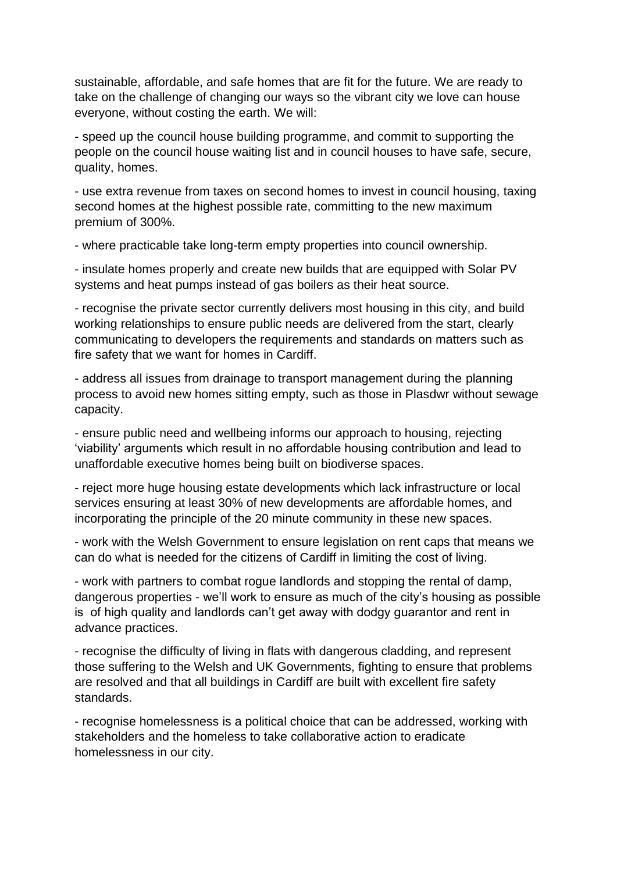sustainable, affordable, and safe homes that are fit for the future. We are ready to take on the challenge of changing our ways so the vibrant city we love can house everyone, without costing the earth. We will:

- speed up the council house building programme, and commit to supporting the people on the council house waiting list and in council houses to have safe, secure, quality, homes.

- use extra revenue from taxes on second homes to invest in council housing, taxing second homes at the highest possible rate, committing to the new maximum premium of 300%.

- where practicable take long-term empty properties into council ownership.

- insulate homes properly and create new builds that are equipped with Solar PV systems and heat pumps instead of gas boilers as their heat source.

- recognise the private sector currently delivers most housing in this city, and build working relationships to ensure public needs are delivered from the start, clearly communicating to developers the requirements and standards on matters such as fire safety that we want for homes in Cardiff.

- address all issues from drainage to transport management during the planning process to avoid new homes sitting empty, such as those in Plasdwr without sewage capacity.

- ensure public need and wellbeing informs our approach to housing, rejecting 'viability' arguments which result in no affordable housing contribution and lead to unaffordable executive homes being built on biodiverse spaces.

- reject more huge housing estate developments which lack infrastructure or local services ensuring at least 30% of new developments are affordable homes, and incorporating the principle of the 20 minute community in these new spaces.

- work with the Welsh Government to ensure legislation on rent caps that means we can do what is needed for the citizens of Cardiff in limiting the cost of living.

- work with partners to combat rogue landlords and stopping the rental of damp, dangerous properties - we'll work to ensure as much of the city's housing as possible is of high quality and landlords can't get away with dodgy guarantor and rent in advance practices.

- recognise the difficulty of living in flats with dangerous cladding, and represent those suffering to the Welsh and UK Governments, fighting to ensure that problems are resolved and that all buildings in Cardiff are built with excellent fire safety standards.

- recognise homelessness is a political choice that can be addressed, working with stakeholders and the homeless to take collaborative action to eradicate homelessness in our city.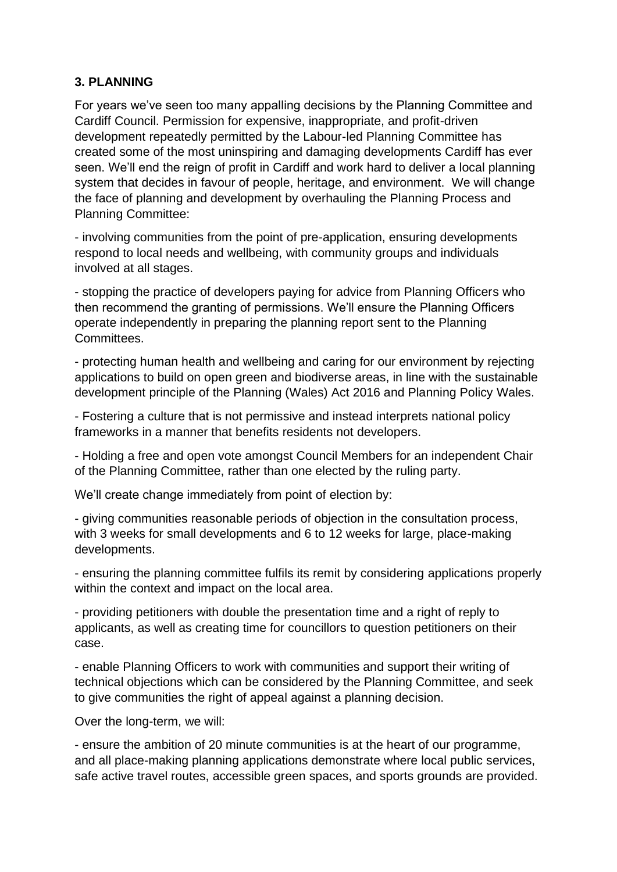#### **3. PLANNING**

For years we've seen too many appalling decisions by the Planning Committee and Cardiff Council. Permission for expensive, inappropriate, and profit-driven development repeatedly permitted by the Labour-led Planning Committee has created some of the most uninspiring and damaging developments Cardiff has ever seen. We'll end the reign of profit in Cardiff and work hard to deliver a local planning system that decides in favour of people, heritage, and environment. We will change the face of planning and development by overhauling the Planning Process and Planning Committee:

- involving communities from the point of pre-application, ensuring developments respond to local needs and wellbeing, with community groups and individuals involved at all stages.

- stopping the practice of developers paying for advice from Planning Officers who then recommend the granting of permissions. We'll ensure the Planning Officers operate independently in preparing the planning report sent to the Planning Committees.

- protecting human health and wellbeing and caring for our environment by rejecting applications to build on open green and biodiverse areas, in line with the sustainable development principle of the Planning (Wales) Act 2016 and Planning Policy Wales.

- Fostering a culture that is not permissive and instead interprets national policy frameworks in a manner that benefits residents not developers.

- Holding a free and open vote amongst Council Members for an independent Chair of the Planning Committee, rather than one elected by the ruling party.

We'll create change immediately from point of election by:

- giving communities reasonable periods of objection in the consultation process, with 3 weeks for small developments and 6 to 12 weeks for large, place-making developments.

- ensuring the planning committee fulfils its remit by considering applications properly within the context and impact on the local area.

- providing petitioners with double the presentation time and a right of reply to applicants, as well as creating time for councillors to question petitioners on their case.

- enable Planning Officers to work with communities and support their writing of technical objections which can be considered by the Planning Committee, and seek to give communities the right of appeal against a planning decision.

Over the long-term, we will:

- ensure the ambition of 20 minute communities is at the heart of our programme, and all place-making planning applications demonstrate where local public services, safe active travel routes, accessible green spaces, and sports grounds are provided.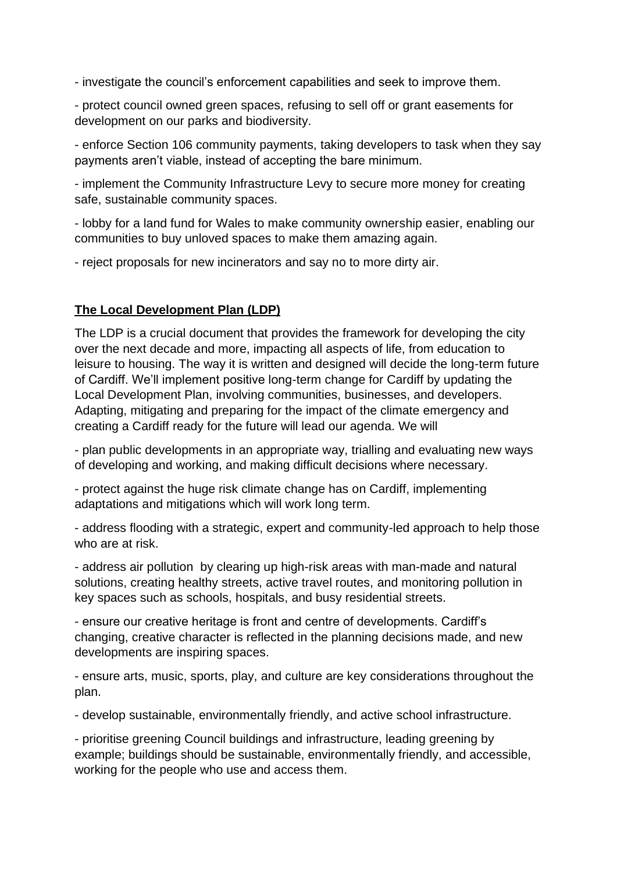- investigate the council's enforcement capabilities and seek to improve them.

- protect council owned green spaces, refusing to sell off or grant easements for development on our parks and biodiversity.

- enforce Section 106 community payments, taking developers to task when they say payments aren't viable, instead of accepting the bare minimum.

- implement the Community Infrastructure Levy to secure more money for creating safe, sustainable community spaces.

- lobby for a land fund for Wales to make community ownership easier, enabling our communities to buy unloved spaces to make them amazing again.

- reject proposals for new incinerators and say no to more dirty air.

#### **The Local Development Plan (LDP)**

The LDP is a crucial document that provides the framework for developing the city over the next decade and more, impacting all aspects of life, from education to leisure to housing. The way it is written and designed will decide the long-term future of Cardiff. We'll implement positive long-term change for Cardiff by updating the Local Development Plan, involving communities, businesses, and developers. Adapting, mitigating and preparing for the impact of the climate emergency and creating a Cardiff ready for the future will lead our agenda. We will

- plan public developments in an appropriate way, trialling and evaluating new ways of developing and working, and making difficult decisions where necessary.

- protect against the huge risk climate change has on Cardiff, implementing adaptations and mitigations which will work long term.

- address flooding with a strategic, expert and community-led approach to help those who are at risk.

- address air pollution by clearing up high-risk areas with man-made and natural solutions, creating healthy streets, active travel routes, and monitoring pollution in key spaces such as schools, hospitals, and busy residential streets.

- ensure our creative heritage is front and centre of developments. Cardiff's changing, creative character is reflected in the planning decisions made, and new developments are inspiring spaces.

- ensure arts, music, sports, play, and culture are key considerations throughout the plan.

- develop sustainable, environmentally friendly, and active school infrastructure.

- prioritise greening Council buildings and infrastructure, leading greening by example; buildings should be sustainable, environmentally friendly, and accessible, working for the people who use and access them.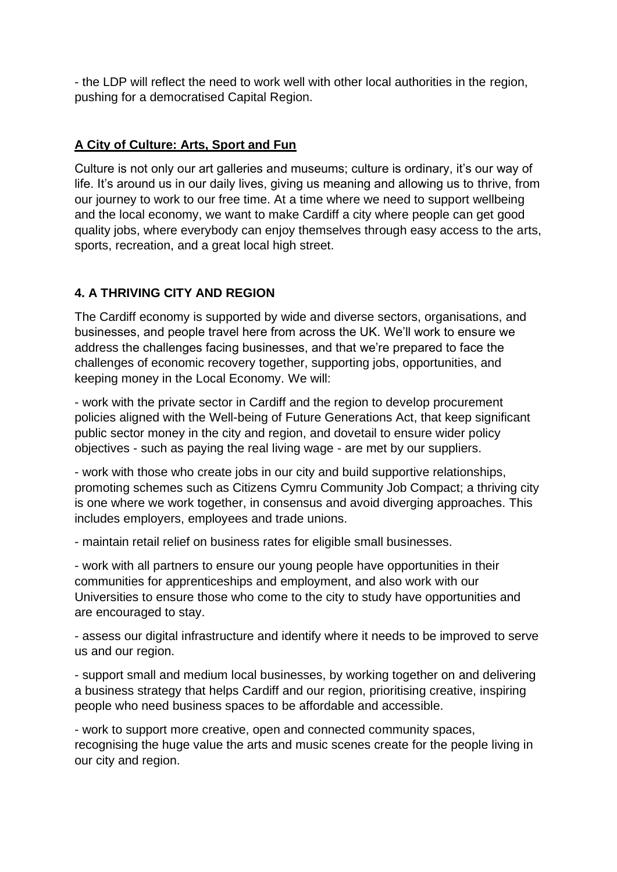- the LDP will reflect the need to work well with other local authorities in the region, pushing for a democratised Capital Region.

### **A City of Culture: Arts, Sport and Fun**

Culture is not only our art galleries and museums; culture is ordinary, it's our way of life. It's around us in our daily lives, giving us meaning and allowing us to thrive, from our journey to work to our free time. At a time where we need to support wellbeing and the local economy, we want to make Cardiff a city where people can get good quality jobs, where everybody can enjoy themselves through easy access to the arts, sports, recreation, and a great local high street.

## **4. A THRIVING CITY AND REGION**

The Cardiff economy is supported by wide and diverse sectors, organisations, and businesses, and people travel here from across the UK. We'll work to ensure we address the challenges facing businesses, and that we're prepared to face the challenges of economic recovery together, supporting jobs, opportunities, and keeping money in the Local Economy. We will:

- work with the private sector in Cardiff and the region to develop procurement policies aligned with the Well-being of Future Generations Act, that keep significant public sector money in the city and region, and dovetail to ensure wider policy objectives - such as paying the real living wage - are met by our suppliers.

- work with those who create jobs in our city and build supportive relationships, promoting schemes such as Citizens Cymru Community Job Compact; a thriving city is one where we work together, in consensus and avoid diverging approaches. This includes employers, employees and trade unions.

- maintain retail relief on business rates for eligible small businesses.

- work with all partners to ensure our young people have opportunities in their communities for apprenticeships and employment, and also work with our Universities to ensure those who come to the city to study have opportunities and are encouraged to stay.

- assess our digital infrastructure and identify where it needs to be improved to serve us and our region.

- support small and medium local businesses, by working together on and delivering a business strategy that helps Cardiff and our region, prioritising creative, inspiring people who need business spaces to be affordable and accessible.

- work to support more creative, open and connected community spaces, recognising the huge value the arts and music scenes create for the people living in our city and region.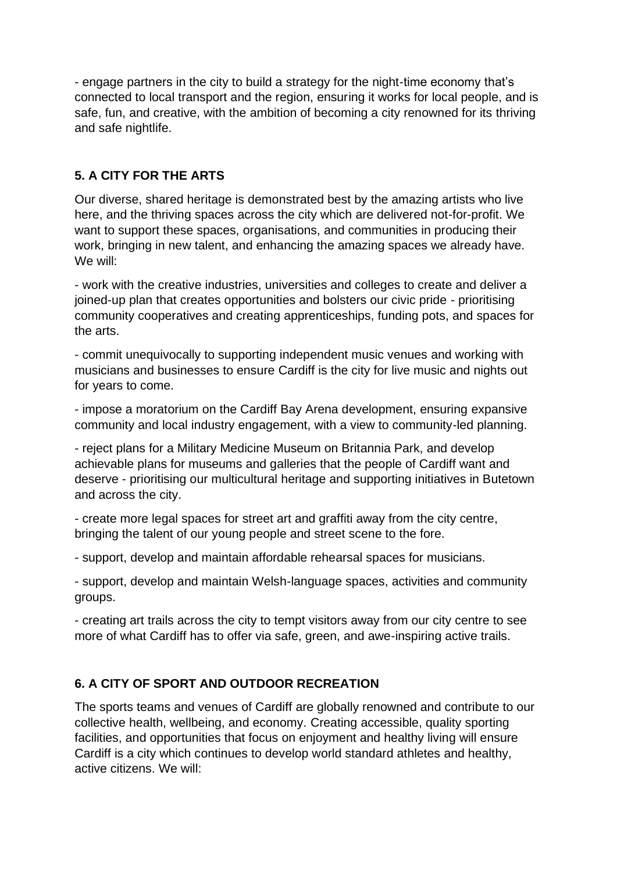- engage partners in the city to build a strategy for the night-time economy that's connected to local transport and the region, ensuring it works for local people, and is safe, fun, and creative, with the ambition of becoming a city renowned for its thriving and safe nightlife.

# **5. A CITY FOR THE ARTS**

Our diverse, shared heritage is demonstrated best by the amazing artists who live here, and the thriving spaces across the city which are delivered not-for-profit. We want to support these spaces, organisations, and communities in producing their work, bringing in new talent, and enhancing the amazing spaces we already have. We will:

- work with the creative industries, universities and colleges to create and deliver a joined-up plan that creates opportunities and bolsters our civic pride - prioritising community cooperatives and creating apprenticeships, funding pots, and spaces for the arts.

- commit unequivocally to supporting independent music venues and working with musicians and businesses to ensure Cardiff is the city for live music and nights out for years to come.

- impose a moratorium on the Cardiff Bay Arena development, ensuring expansive community and local industry engagement, with a view to community-led planning.

- reject plans for a Military Medicine Museum on Britannia Park, and develop achievable plans for museums and galleries that the people of Cardiff want and deserve - prioritising our multicultural heritage and supporting initiatives in Butetown and across the city.

- create more legal spaces for street art and graffiti away from the city centre, bringing the talent of our young people and street scene to the fore.

- support, develop and maintain affordable rehearsal spaces for musicians.

- support, develop and maintain Welsh-language spaces, activities and community groups.

- creating art trails across the city to tempt visitors away from our city centre to see more of what Cardiff has to offer via safe, green, and awe-inspiring active trails.

## **6. A CITY OF SPORT AND OUTDOOR RECREATION**

The sports teams and venues of Cardiff are globally renowned and contribute to our collective health, wellbeing, and economy. Creating accessible, quality sporting facilities, and opportunities that focus on enjoyment and healthy living will ensure Cardiff is a city which continues to develop world standard athletes and healthy, active citizens. We will: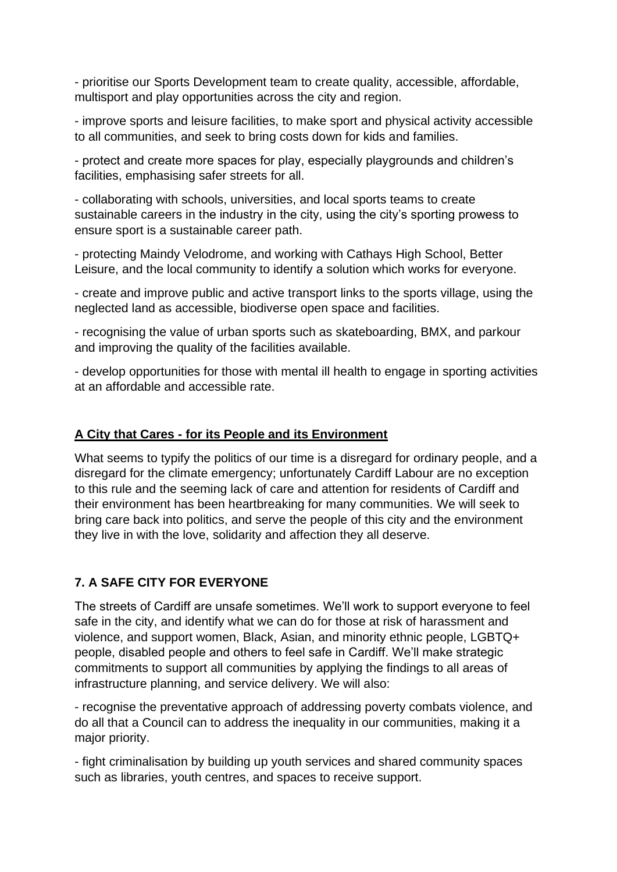- prioritise our Sports Development team to create quality, accessible, affordable, multisport and play opportunities across the city and region.

- improve sports and leisure facilities, to make sport and physical activity accessible to all communities, and seek to bring costs down for kids and families.

- protect and create more spaces for play, especially playgrounds and children's facilities, emphasising safer streets for all.

- collaborating with schools, universities, and local sports teams to create sustainable careers in the industry in the city, using the city's sporting prowess to ensure sport is a sustainable career path.

- protecting Maindy Velodrome, and working with Cathays High School, Better Leisure, and the local community to identify a solution which works for everyone.

- create and improve public and active transport links to the sports village, using the neglected land as accessible, biodiverse open space and facilities.

- recognising the value of urban sports such as skateboarding, BMX, and parkour and improving the quality of the facilities available.

- develop opportunities for those with mental ill health to engage in sporting activities at an affordable and accessible rate.

#### **A City that Cares - for its People and its Environment**

What seems to typify the politics of our time is a disregard for ordinary people, and a disregard for the climate emergency; unfortunately Cardiff Labour are no exception to this rule and the seeming lack of care and attention for residents of Cardiff and their environment has been heartbreaking for many communities. We will seek to bring care back into politics, and serve the people of this city and the environment they live in with the love, solidarity and affection they all deserve.

#### **7. A SAFE CITY FOR EVERYONE**

The streets of Cardiff are unsafe sometimes. We'll work to support everyone to feel safe in the city, and identify what we can do for those at risk of harassment and violence, and support women, Black, Asian, and minority ethnic people, LGBTQ+ people, disabled people and others to feel safe in Cardiff. We'll make strategic commitments to support all communities by applying the findings to all areas of infrastructure planning, and service delivery. We will also:

- recognise the preventative approach of addressing poverty combats violence, and do all that a Council can to address the inequality in our communities, making it a major priority.

- fight criminalisation by building up youth services and shared community spaces such as libraries, youth centres, and spaces to receive support.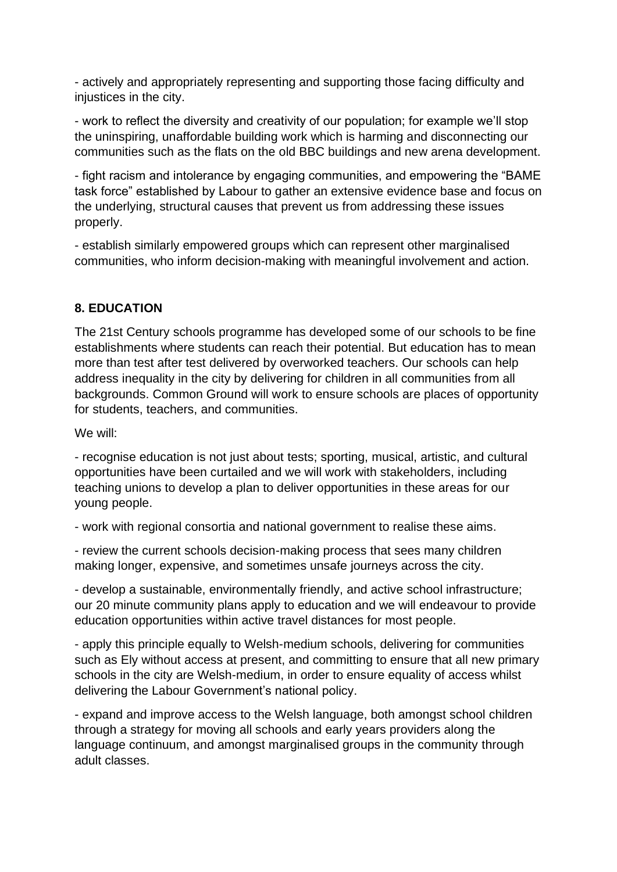- actively and appropriately representing and supporting those facing difficulty and injustices in the city.

- work to reflect the diversity and creativity of our population; for example we'll stop the uninspiring, unaffordable building work which is harming and disconnecting our communities such as the flats on the old BBC buildings and new arena development.

- fight racism and intolerance by engaging communities, and empowering the "BAME task force" established by Labour to gather an extensive evidence base and focus on the underlying, structural causes that prevent us from addressing these issues properly.

- establish similarly empowered groups which can represent other marginalised communities, who inform decision-making with meaningful involvement and action.

#### **8. EDUCATION**

The 21st Century schools programme has developed some of our schools to be fine establishments where students can reach their potential. But education has to mean more than test after test delivered by overworked teachers. Our schools can help address inequality in the city by delivering for children in all communities from all backgrounds. Common Ground will work to ensure schools are places of opportunity for students, teachers, and communities.

We will:

- recognise education is not just about tests; sporting, musical, artistic, and cultural opportunities have been curtailed and we will work with stakeholders, including teaching unions to develop a plan to deliver opportunities in these areas for our young people.

- work with regional consortia and national government to realise these aims.

- review the current schools decision-making process that sees many children making longer, expensive, and sometimes unsafe journeys across the city.

- develop a sustainable, environmentally friendly, and active school infrastructure; our 20 minute community plans apply to education and we will endeavour to provide education opportunities within active travel distances for most people.

- apply this principle equally to Welsh-medium schools, delivering for communities such as Ely without access at present, and committing to ensure that all new primary schools in the city are Welsh-medium, in order to ensure equality of access whilst delivering the Labour Government's national policy.

- expand and improve access to the Welsh language, both amongst school children through a strategy for moving all schools and early years providers along the language continuum, and amongst marginalised groups in the community through adult classes.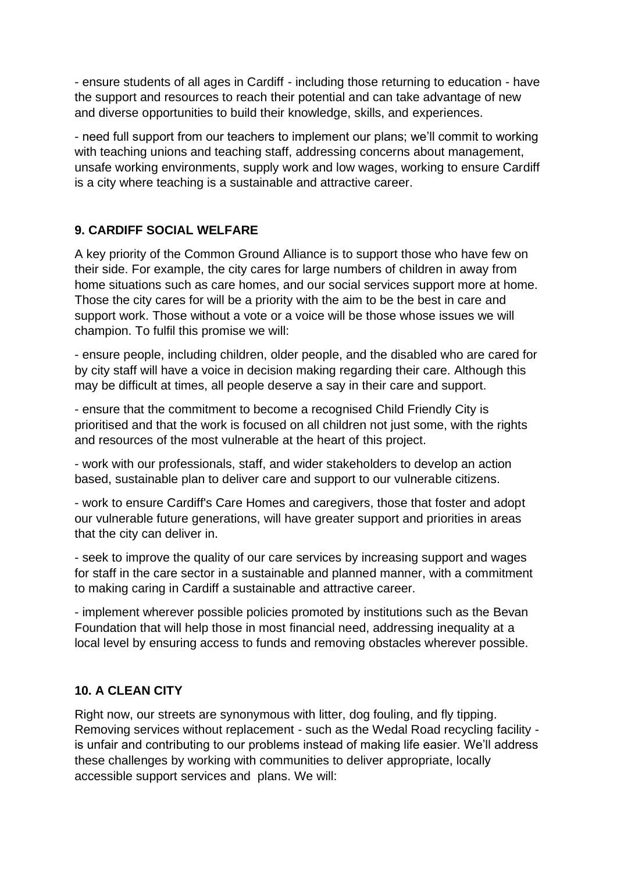- ensure students of all ages in Cardiff - including those returning to education - have the support and resources to reach their potential and can take advantage of new and diverse opportunities to build their knowledge, skills, and experiences.

- need full support from our teachers to implement our plans; we'll commit to working with teaching unions and teaching staff, addressing concerns about management, unsafe working environments, supply work and low wages, working to ensure Cardiff is a city where teaching is a sustainable and attractive career.

### **9. CARDIFF SOCIAL WELFARE**

A key priority of the Common Ground Alliance is to support those who have few on their side. For example, the city cares for large numbers of children in away from home situations such as care homes, and our social services support more at home. Those the city cares for will be a priority with the aim to be the best in care and support work. Those without a vote or a voice will be those whose issues we will champion. To fulfil this promise we will:

- ensure people, including children, older people, and the disabled who are cared for by city staff will have a voice in decision making regarding their care. Although this may be difficult at times, all people deserve a say in their care and support.

- ensure that the commitment to become a recognised Child Friendly City is prioritised and that the work is focused on all children not just some, with the rights and resources of the most vulnerable at the heart of this project.

- work with our professionals, staff, and wider stakeholders to develop an action based, sustainable plan to deliver care and support to our vulnerable citizens.

- work to ensure Cardiff's Care Homes and caregivers, those that foster and adopt our vulnerable future generations, will have greater support and priorities in areas that the city can deliver in.

- seek to improve the quality of our care services by increasing support and wages for staff in the care sector in a sustainable and planned manner, with a commitment to making caring in Cardiff a sustainable and attractive career.

- implement wherever possible policies promoted by institutions such as the Bevan Foundation that will help those in most financial need, addressing inequality at a local level by ensuring access to funds and removing obstacles wherever possible.

#### **10. A CLEAN CITY**

Right now, our streets are synonymous with litter, dog fouling, and fly tipping. Removing services without replacement - such as the Wedal Road recycling facility is unfair and contributing to our problems instead of making life easier. We'll address these challenges by working with communities to deliver appropriate, locally accessible support services and plans. We will: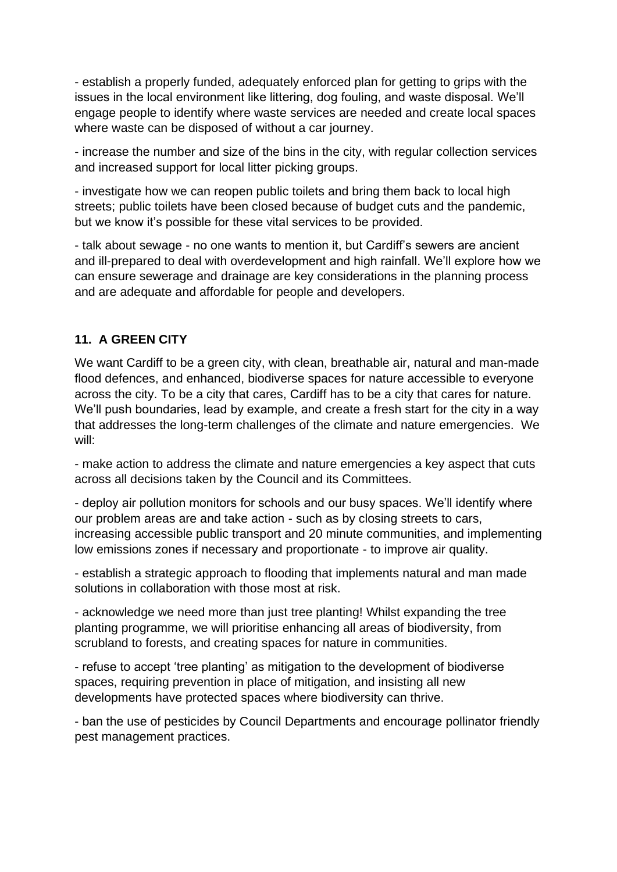- establish a properly funded, adequately enforced plan for getting to grips with the issues in the local environment like littering, dog fouling, and waste disposal. We'll engage people to identify where waste services are needed and create local spaces where waste can be disposed of without a car journey.

- increase the number and size of the bins in the city, with regular collection services and increased support for local litter picking groups.

- investigate how we can reopen public toilets and bring them back to local high streets; public toilets have been closed because of budget cuts and the pandemic, but we know it's possible for these vital services to be provided.

- talk about sewage - no one wants to mention it, but Cardiff's sewers are ancient and ill-prepared to deal with overdevelopment and high rainfall. We'll explore how we can ensure sewerage and drainage are key considerations in the planning process and are adequate and affordable for people and developers.

### **11. A GREEN CITY**

We want Cardiff to be a green city, with clean, breathable air, natural and man-made flood defences, and enhanced, biodiverse spaces for nature accessible to everyone across the city. To be a city that cares, Cardiff has to be a city that cares for nature. We'll push boundaries, lead by example, and create a fresh start for the city in a way that addresses the long-term challenges of the climate and nature emergencies. We will:

- make action to address the climate and nature emergencies a key aspect that cuts across all decisions taken by the Council and its Committees.

- deploy air pollution monitors for schools and our busy spaces. We'll identify where our problem areas are and take action - such as by closing streets to cars, increasing accessible public transport and 20 minute communities, and implementing low emissions zones if necessary and proportionate - to improve air quality.

- establish a strategic approach to flooding that implements natural and man made solutions in collaboration with those most at risk.

- acknowledge we need more than just tree planting! Whilst expanding the tree planting programme, we will prioritise enhancing all areas of biodiversity, from scrubland to forests, and creating spaces for nature in communities.

- refuse to accept 'tree planting' as mitigation to the development of biodiverse spaces, requiring prevention in place of mitigation, and insisting all new developments have protected spaces where biodiversity can thrive.

- ban the use of pesticides by Council Departments and encourage pollinator friendly pest management practices.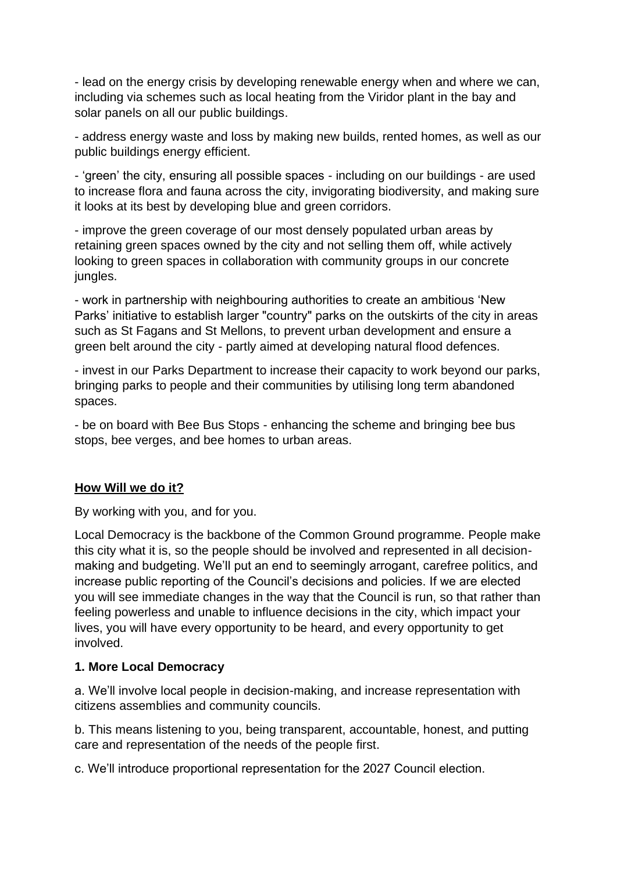- lead on the energy crisis by developing renewable energy when and where we can, including via schemes such as local heating from the Viridor plant in the bay and solar panels on all our public buildings.

- address energy waste and loss by making new builds, rented homes, as well as our public buildings energy efficient.

- 'green' the city, ensuring all possible spaces - including on our buildings - are used to increase flora and fauna across the city, invigorating biodiversity, and making sure it looks at its best by developing blue and green corridors.

- improve the green coverage of our most densely populated urban areas by retaining green spaces owned by the city and not selling them off, while actively looking to green spaces in collaboration with community groups in our concrete jungles.

- work in partnership with neighbouring authorities to create an ambitious 'New Parks' initiative to establish larger "country" parks on the outskirts of the city in areas such as St Fagans and St Mellons, to prevent urban development and ensure a green belt around the city - partly aimed at developing natural flood defences.

- invest in our Parks Department to increase their capacity to work beyond our parks, bringing parks to people and their communities by utilising long term abandoned spaces.

- be on board with Bee Bus Stops - enhancing the scheme and bringing bee bus stops, bee verges, and bee homes to urban areas.

#### **How Will we do it?**

By working with you, and for you.

Local Democracy is the backbone of the Common Ground programme. People make this city what it is, so the people should be involved and represented in all decisionmaking and budgeting. We'll put an end to seemingly arrogant, carefree politics, and increase public reporting of the Council's decisions and policies. If we are elected you will see immediate changes in the way that the Council is run, so that rather than feeling powerless and unable to influence decisions in the city, which impact your lives, you will have every opportunity to be heard, and every opportunity to get involved.

#### **1. More Local Democracy**

a. We'll involve local people in decision-making, and increase representation with citizens assemblies and community councils.

b. This means listening to you, being transparent, accountable, honest, and putting care and representation of the needs of the people first.

c. We'll introduce proportional representation for the 2027 Council election.